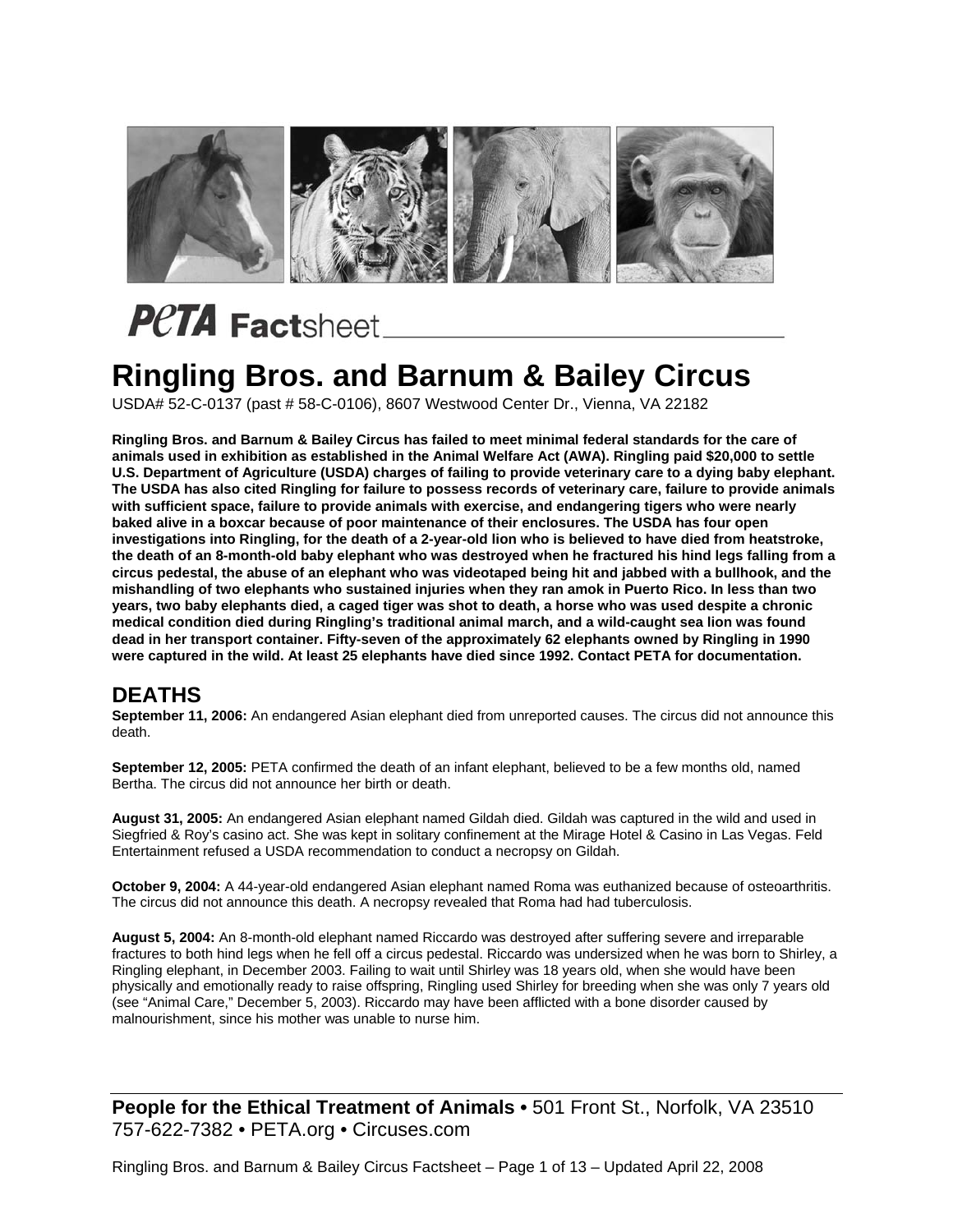

#### **Ringling Bros. and Barnum & Bailey Circus**

USDA# 52-C-0137 (past # 58-C-0106), 8607 Westwood Center Dr., Vienna, VA 22182

**Ringling Bros. and Barnum & Bailey Circus has failed to meet minimal federal standards for the care of animals used in exhibition as established in the Animal Welfare Act (AWA). Ringling paid \$20,000 to settle U.S. Department of Agriculture (USDA) charges of failing to provide veterinary care to a dying baby elephant. The USDA has also cited Ringling for failure to possess records of veterinary care, failure to provide animals with sufficient space, failure to provide animals with exercise, and endangering tigers who were nearly baked alive in a boxcar because of poor maintenance of their enclosures. The USDA has four open investigations into Ringling, for the death of a 2-year-old lion who is believed to have died from heatstroke, the death of an 8-month-old baby elephant who was destroyed when he fractured his hind legs falling from a circus pedestal, the abuse of an elephant who was videotaped being hit and jabbed with a bullhook, and the mishandling of two elephants who sustained injuries when they ran amok in Puerto Rico. In less than two years, two baby elephants died, a caged tiger was shot to death, a horse who was used despite a chronic medical condition died during Ringling's traditional animal march, and a wild-caught sea lion was found dead in her transport container. Fifty-seven of the approximately 62 elephants owned by Ringling in 1990 were captured in the wild. At least 25 elephants have died since 1992. Contact PETA for documentation.** 

#### **DEATHS**

**September 11, 2006:** An endangered Asian elephant died from unreported causes. The circus did not announce this death.

**September 12, 2005:** PETA confirmed the death of an infant elephant, believed to be a few months old, named Bertha. The circus did not announce her birth or death.

**August 31, 2005:** An endangered Asian elephant named Gildah died. Gildah was captured in the wild and used in Siegfried & Roy's casino act. She was kept in solitary confinement at the Mirage Hotel & Casino in Las Vegas. Feld Entertainment refused a USDA recommendation to conduct a necropsy on Gildah.

**October 9, 2004:** A 44-year-old endangered Asian elephant named Roma was euthanized because of osteoarthritis. The circus did not announce this death. A necropsy revealed that Roma had had tuberculosis.

**August 5, 2004:** An 8-month-old elephant named Riccardo was destroyed after suffering severe and irreparable fractures to both hind legs when he fell off a circus pedestal. Riccardo was undersized when he was born to Shirley, a Ringling elephant, in December 2003. Failing to wait until Shirley was 18 years old, when she would have been physically and emotionally ready to raise offspring, Ringling used Shirley for breeding when she was only 7 years old (see "Animal Care," December 5, 2003). Riccardo may have been afflicted with a bone disorder caused by malnourishment, since his mother was unable to nurse him.

**People for the Ethical Treatment of Animals •** 501 Front St., Norfolk, VA 23510 757-622-7382 • PETA.org • Circuses.com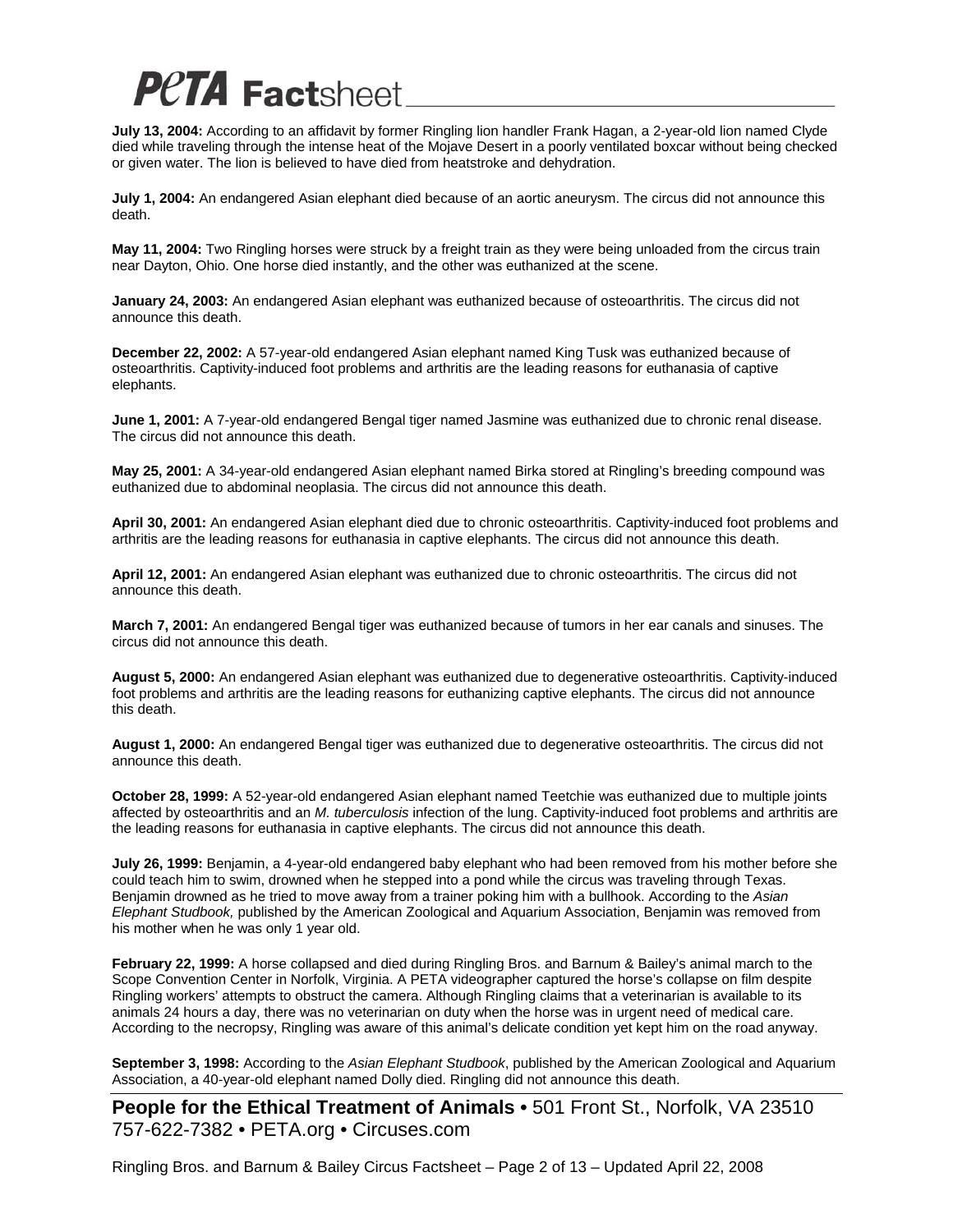**July 13, 2004:** According to an affidavit by former Ringling lion handler Frank Hagan, a 2-year-old lion named Clyde died while traveling through the intense heat of the Mojave Desert in a poorly ventilated boxcar without being checked or given water. The lion is believed to have died from heatstroke and dehydration.

**July 1, 2004:** An endangered Asian elephant died because of an aortic aneurysm. The circus did not announce this death.

**May 11, 2004:** Two Ringling horses were struck by a freight train as they were being unloaded from the circus train near Dayton, Ohio. One horse died instantly, and the other was euthanized at the scene.

**January 24, 2003:** An endangered Asian elephant was euthanized because of osteoarthritis. The circus did not announce this death.

**December 22, 2002:** A 57-year-old endangered Asian elephant named King Tusk was euthanized because of osteoarthritis. Captivity-induced foot problems and arthritis are the leading reasons for euthanasia of captive elephants.

**June 1, 2001:** A 7-year-old endangered Bengal tiger named Jasmine was euthanized due to chronic renal disease. The circus did not announce this death.

**May 25, 2001:** A 34-year-old endangered Asian elephant named Birka stored at Ringling's breeding compound was euthanized due to abdominal neoplasia. The circus did not announce this death.

**April 30, 2001:** An endangered Asian elephant died due to chronic osteoarthritis. Captivity-induced foot problems and arthritis are the leading reasons for euthanasia in captive elephants. The circus did not announce this death.

**April 12, 2001:** An endangered Asian elephant was euthanized due to chronic osteoarthritis. The circus did not announce this death.

**March 7, 2001:** An endangered Bengal tiger was euthanized because of tumors in her ear canals and sinuses. The circus did not announce this death.

**August 5, 2000:** An endangered Asian elephant was euthanized due to degenerative osteoarthritis. Captivity-induced foot problems and arthritis are the leading reasons for euthanizing captive elephants. The circus did not announce this death.

**August 1, 2000:** An endangered Bengal tiger was euthanized due to degenerative osteoarthritis. The circus did not announce this death.

**October 28, 1999:** A 52-year-old endangered Asian elephant named Teetchie was euthanized due to multiple joints affected by osteoarthritis and an *M. tuberculosis* infection of the lung. Captivity-induced foot problems and arthritis are the leading reasons for euthanasia in captive elephants. The circus did not announce this death.

**July 26, 1999:** Benjamin, a 4-year-old endangered baby elephant who had been removed from his mother before she could teach him to swim, drowned when he stepped into a pond while the circus was traveling through Texas. Benjamin drowned as he tried to move away from a trainer poking him with a bullhook. According to the *Asian Elephant Studbook,* published by the American Zoological and Aquarium Association, Benjamin was removed from his mother when he was only 1 year old.

**February 22, 1999:** A horse collapsed and died during Ringling Bros. and Barnum & Bailey's animal march to the Scope Convention Center in Norfolk, Virginia. A PETA videographer captured the horse's collapse on film despite Ringling workers' attempts to obstruct the camera. Although Ringling claims that a veterinarian is available to its animals 24 hours a day, there was no veterinarian on duty when the horse was in urgent need of medical care. According to the necropsy, Ringling was aware of this animal's delicate condition yet kept him on the road anyway.

**September 3, 1998:** According to the *Asian Elephant Studbook*, published by the American Zoological and Aquarium Association, a 40-year-old elephant named Dolly died. Ringling did not announce this death.

**People for the Ethical Treatment of Animals •** 501 Front St., Norfolk, VA 23510 757-622-7382 • PETA.org • Circuses.com

Ringling Bros. and Barnum & Bailey Circus Factsheet – Page 2 of 13 – Updated April 22, 2008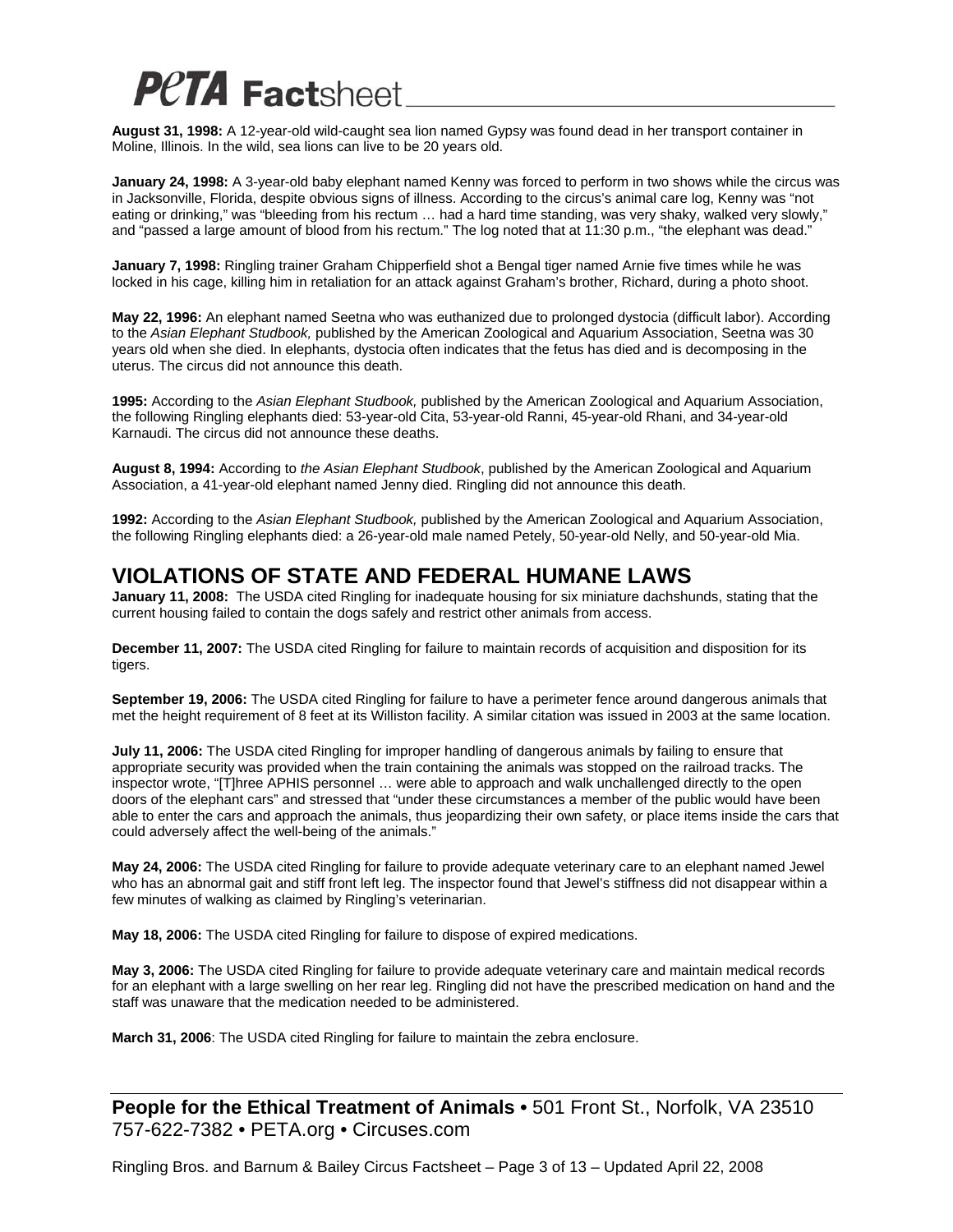**August 31, 1998:** A 12-year-old wild-caught sea lion named Gypsy was found dead in her transport container in Moline, Illinois. In the wild, sea lions can live to be 20 years old.

**January 24, 1998:** A 3-year-old baby elephant named Kenny was forced to perform in two shows while the circus was in Jacksonville, Florida, despite obvious signs of illness. According to the circus's animal care log, Kenny was "not eating or drinking," was "bleeding from his rectum … had a hard time standing, was very shaky, walked very slowly," and "passed a large amount of blood from his rectum." The log noted that at 11:30 p.m., "the elephant was dead."

**January 7, 1998:** Ringling trainer Graham Chipperfield shot a Bengal tiger named Arnie five times while he was locked in his cage, killing him in retaliation for an attack against Graham's brother, Richard, during a photo shoot.

**May 22, 1996:** An elephant named Seetna who was euthanized due to prolonged dystocia (difficult labor). According to the *Asian Elephant Studbook,* published by the American Zoological and Aquarium Association, Seetna was 30 years old when she died. In elephants, dystocia often indicates that the fetus has died and is decomposing in the uterus. The circus did not announce this death.

**1995:** According to the *Asian Elephant Studbook,* published by the American Zoological and Aquarium Association, the following Ringling elephants died: 53-year-old Cita, 53-year-old Ranni, 45-year-old Rhani, and 34-year-old Karnaudi. The circus did not announce these deaths.

**August 8, 1994:** According to *the Asian Elephant Studbook*, published by the American Zoological and Aquarium Association, a 41-year-old elephant named Jenny died. Ringling did not announce this death.

**1992:** According to the *Asian Elephant Studbook,* published by the American Zoological and Aquarium Association, the following Ringling elephants died: a 26-year-old male named Petely, 50-year-old Nelly, and 50-year-old Mia.

#### **VIOLATIONS OF STATE AND FEDERAL HUMANE LAWS**

**January 11, 2008:** The USDA cited Ringling for inadequate housing for six miniature dachshunds, stating that the current housing failed to contain the dogs safely and restrict other animals from access.

**December 11, 2007:** The USDA cited Ringling for failure to maintain records of acquisition and disposition for its tigers.

**September 19, 2006:** The USDA cited Ringling for failure to have a perimeter fence around dangerous animals that met the height requirement of 8 feet at its Williston facility. A similar citation was issued in 2003 at the same location.

**July 11, 2006:** The USDA cited Ringling for improper handling of dangerous animals by failing to ensure that appropriate security was provided when the train containing the animals was stopped on the railroad tracks. The inspector wrote, "[T]hree APHIS personnel … were able to approach and walk unchallenged directly to the open doors of the elephant cars" and stressed that "under these circumstances a member of the public would have been able to enter the cars and approach the animals, thus jeopardizing their own safety, or place items inside the cars that could adversely affect the well-being of the animals."

**May 24, 2006:** The USDA cited Ringling for failure to provide adequate veterinary care to an elephant named Jewel who has an abnormal gait and stiff front left leg. The inspector found that Jewel's stiffness did not disappear within a few minutes of walking as claimed by Ringling's veterinarian.

**May 18, 2006:** The USDA cited Ringling for failure to dispose of expired medications.

**May 3, 2006:** The USDA cited Ringling for failure to provide adequate veterinary care and maintain medical records for an elephant with a large swelling on her rear leg. Ringling did not have the prescribed medication on hand and the staff was unaware that the medication needed to be administered.

**March 31, 2006**: The USDA cited Ringling for failure to maintain the zebra enclosure.

**People for the Ethical Treatment of Animals •** 501 Front St., Norfolk, VA 23510 757-622-7382 • PETA.org • Circuses.com

Ringling Bros. and Barnum & Bailey Circus Factsheet – Page 3 of 13 – Updated April 22, 2008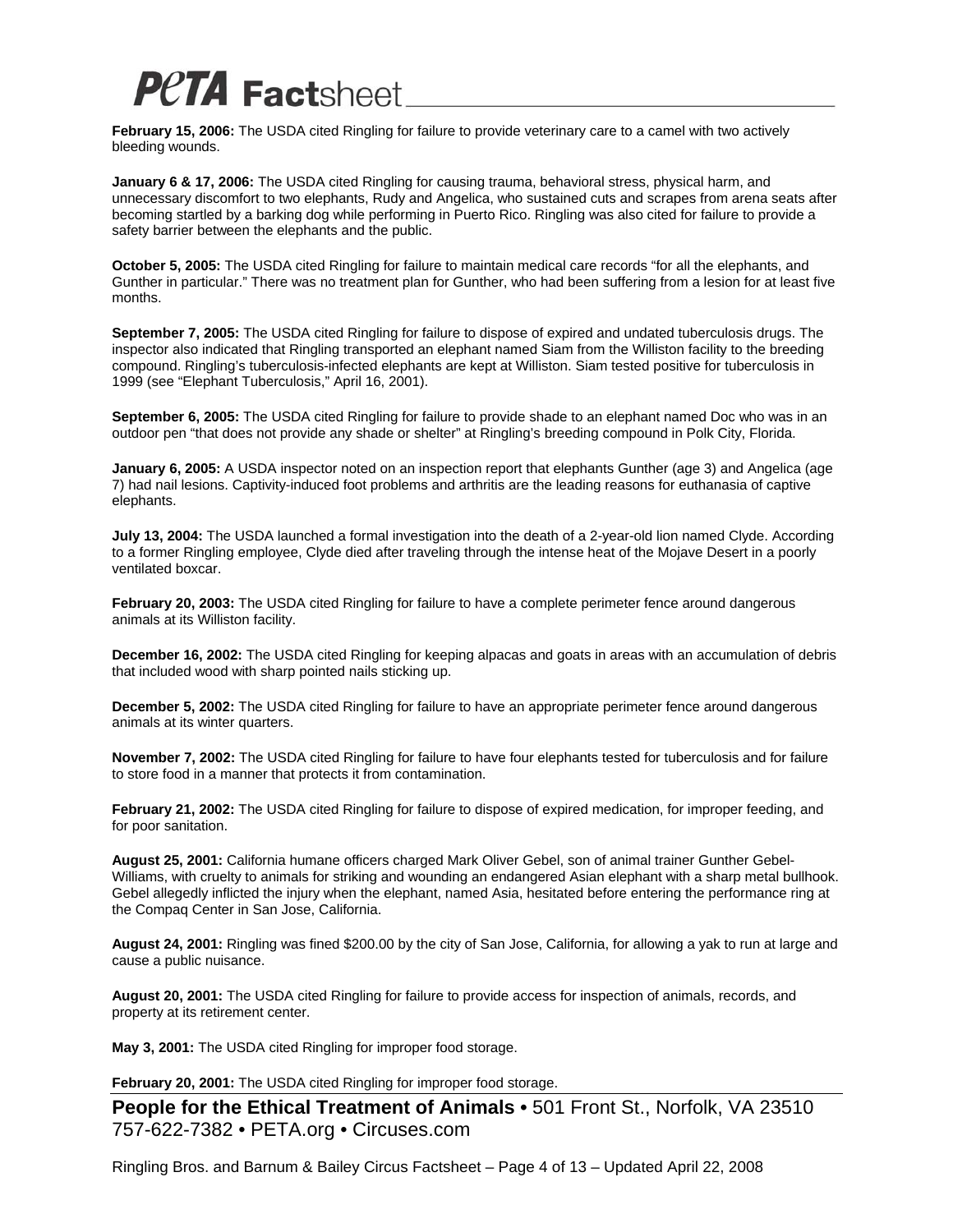**February 15, 2006:** The USDA cited Ringling for failure to provide veterinary care to a camel with two actively bleeding wounds.

**January 6 & 17, 2006:** The USDA cited Ringling for causing trauma, behavioral stress, physical harm, and unnecessary discomfort to two elephants, Rudy and Angelica, who sustained cuts and scrapes from arena seats after becoming startled by a barking dog while performing in Puerto Rico. Ringling was also cited for failure to provide a safety barrier between the elephants and the public.

**October 5, 2005:** The USDA cited Ringling for failure to maintain medical care records "for all the elephants, and Gunther in particular." There was no treatment plan for Gunther, who had been suffering from a lesion for at least five months.

**September 7, 2005:** The USDA cited Ringling for failure to dispose of expired and undated tuberculosis drugs. The inspector also indicated that Ringling transported an elephant named Siam from the Williston facility to the breeding compound. Ringling's tuberculosis-infected elephants are kept at Williston. Siam tested positive for tuberculosis in 1999 (see "Elephant Tuberculosis," April 16, 2001).

**September 6, 2005:** The USDA cited Ringling for failure to provide shade to an elephant named Doc who was in an outdoor pen "that does not provide any shade or shelter" at Ringling's breeding compound in Polk City, Florida.

**January 6, 2005:** A USDA inspector noted on an inspection report that elephants Gunther (age 3) and Angelica (age 7) had nail lesions. Captivity-induced foot problems and arthritis are the leading reasons for euthanasia of captive elephants.

**July 13, 2004:** The USDA launched a formal investigation into the death of a 2-year-old lion named Clyde. According to a former Ringling employee, Clyde died after traveling through the intense heat of the Mojave Desert in a poorly ventilated boxcar.

**February 20, 2003:** The USDA cited Ringling for failure to have a complete perimeter fence around dangerous animals at its Williston facility.

**December 16, 2002:** The USDA cited Ringling for keeping alpacas and goats in areas with an accumulation of debris that included wood with sharp pointed nails sticking up.

**December 5, 2002:** The USDA cited Ringling for failure to have an appropriate perimeter fence around dangerous animals at its winter quarters.

**November 7, 2002:** The USDA cited Ringling for failure to have four elephants tested for tuberculosis and for failure to store food in a manner that protects it from contamination.

**February 21, 2002:** The USDA cited Ringling for failure to dispose of expired medication, for improper feeding, and for poor sanitation.

**August 25, 2001:** California humane officers charged Mark Oliver Gebel, son of animal trainer Gunther Gebel-Williams, with cruelty to animals for striking and wounding an endangered Asian elephant with a sharp metal bullhook. Gebel allegedly inflicted the injury when the elephant, named Asia, hesitated before entering the performance ring at the Compaq Center in San Jose, California.

**August 24, 2001:** Ringling was fined \$200.00 by the city of San Jose, California, for allowing a yak to run at large and cause a public nuisance.

**August 20, 2001:** The USDA cited Ringling for failure to provide access for inspection of animals, records, and property at its retirement center.

**May 3, 2001:** The USDA cited Ringling for improper food storage.

**February 20, 2001:** The USDA cited Ringling for improper food storage.

**People for the Ethical Treatment of Animals •** 501 Front St., Norfolk, VA 23510 757-622-7382 • PETA.org • Circuses.com

Ringling Bros. and Barnum & Bailey Circus Factsheet – Page 4 of 13 – Updated April 22, 2008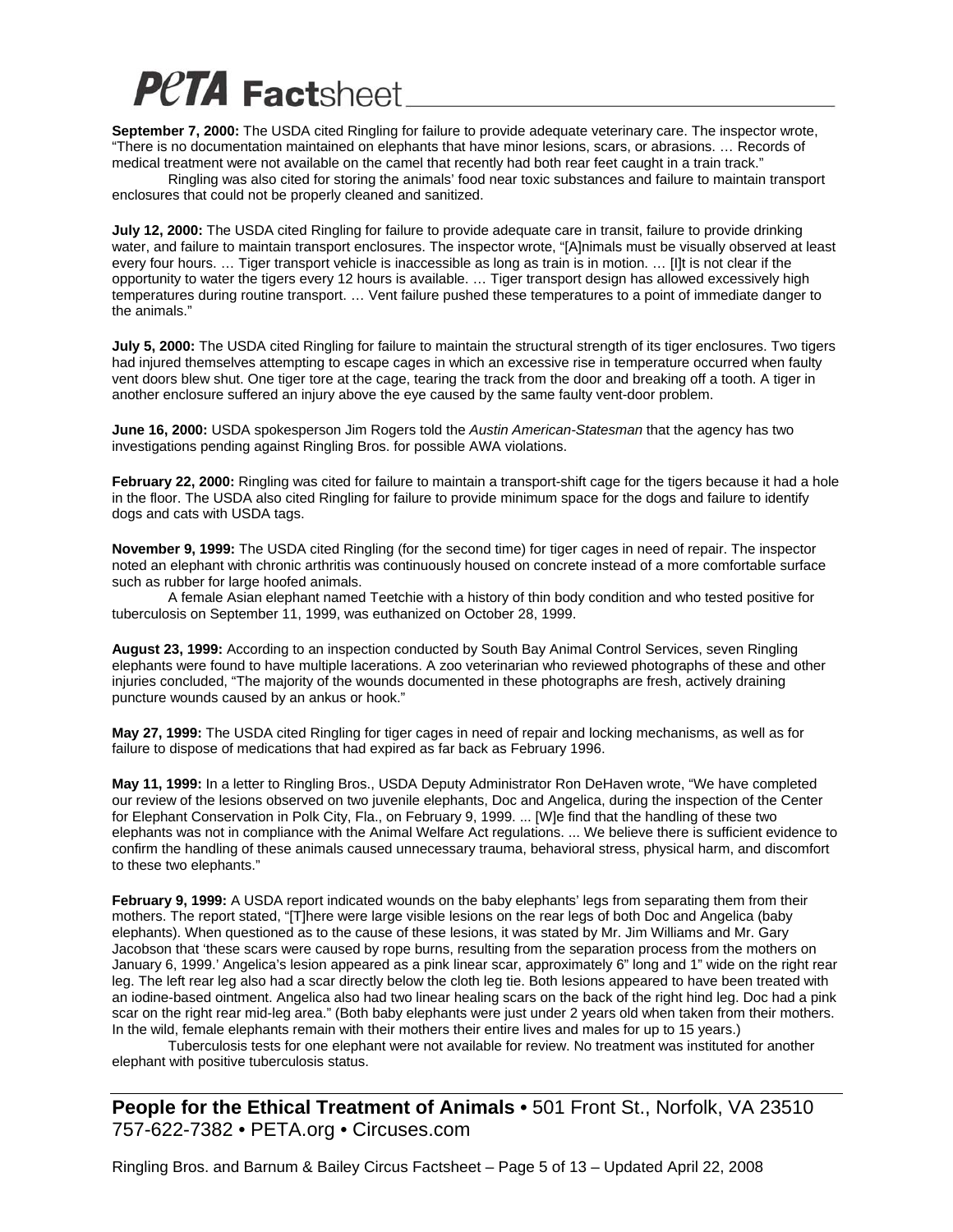**September 7, 2000:** The USDA cited Ringling for failure to provide adequate veterinary care. The inspector wrote, "There is no documentation maintained on elephants that have minor lesions, scars, or abrasions. … Records of medical treatment were not available on the camel that recently had both rear feet caught in a train track."

 Ringling was also cited for storing the animals' food near toxic substances and failure to maintain transport enclosures that could not be properly cleaned and sanitized.

**July 12, 2000:** The USDA cited Ringling for failure to provide adequate care in transit, failure to provide drinking water, and failure to maintain transport enclosures. The inspector wrote, "[A]nimals must be visually observed at least every four hours. … Tiger transport vehicle is inaccessible as long as train is in motion. … [I]t is not clear if the opportunity to water the tigers every 12 hours is available. … Tiger transport design has allowed excessively high temperatures during routine transport. … Vent failure pushed these temperatures to a point of immediate danger to the animals."

**July 5, 2000:** The USDA cited Ringling for failure to maintain the structural strength of its tiger enclosures. Two tigers had injured themselves attempting to escape cages in which an excessive rise in temperature occurred when faulty vent doors blew shut. One tiger tore at the cage, tearing the track from the door and breaking off a tooth. A tiger in another enclosure suffered an injury above the eye caused by the same faulty vent-door problem.

**June 16, 2000:** USDA spokesperson Jim Rogers told the *Austin American-Statesman* that the agency has two investigations pending against Ringling Bros. for possible AWA violations.

**February 22, 2000:** Ringling was cited for failure to maintain a transport-shift cage for the tigers because it had a hole in the floor. The USDA also cited Ringling for failure to provide minimum space for the dogs and failure to identify dogs and cats with USDA tags.

**November 9, 1999:** The USDA cited Ringling (for the second time) for tiger cages in need of repair. The inspector noted an elephant with chronic arthritis was continuously housed on concrete instead of a more comfortable surface such as rubber for large hoofed animals.

 A female Asian elephant named Teetchie with a history of thin body condition and who tested positive for tuberculosis on September 11, 1999, was euthanized on October 28, 1999.

**August 23, 1999:** According to an inspection conducted by South Bay Animal Control Services, seven Ringling elephants were found to have multiple lacerations. A zoo veterinarian who reviewed photographs of these and other injuries concluded, "The majority of the wounds documented in these photographs are fresh, actively draining puncture wounds caused by an ankus or hook."

**May 27, 1999:** The USDA cited Ringling for tiger cages in need of repair and locking mechanisms, as well as for failure to dispose of medications that had expired as far back as February 1996.

**May 11, 1999:** In a letter to Ringling Bros., USDA Deputy Administrator Ron DeHaven wrote, "We have completed our review of the lesions observed on two juvenile elephants, Doc and Angelica, during the inspection of the Center for Elephant Conservation in Polk City, Fla., on February 9, 1999. ... [W]e find that the handling of these two elephants was not in compliance with the Animal Welfare Act regulations. ... We believe there is sufficient evidence to confirm the handling of these animals caused unnecessary trauma, behavioral stress, physical harm, and discomfort to these two elephants."

**February 9, 1999:** A USDA report indicated wounds on the baby elephants' legs from separating them from their mothers. The report stated, "[T]here were large visible lesions on the rear legs of both Doc and Angelica (baby elephants). When questioned as to the cause of these lesions, it was stated by Mr. Jim Williams and Mr. Gary Jacobson that 'these scars were caused by rope burns, resulting from the separation process from the mothers on January 6, 1999.' Angelica's lesion appeared as a pink linear scar, approximately 6" long and 1" wide on the right rear leg. The left rear leg also had a scar directly below the cloth leg tie. Both lesions appeared to have been treated with an iodine-based ointment. Angelica also had two linear healing scars on the back of the right hind leg. Doc had a pink scar on the right rear mid-leg area." (Both baby elephants were just under 2 years old when taken from their mothers. In the wild, female elephants remain with their mothers their entire lives and males for up to 15 years.)

 Tuberculosis tests for one elephant were not available for review. No treatment was instituted for another elephant with positive tuberculosis status.

**People for the Ethical Treatment of Animals •** 501 Front St., Norfolk, VA 23510 757-622-7382 • PETA.org • Circuses.com

Ringling Bros. and Barnum & Bailey Circus Factsheet – Page 5 of 13 – Updated April 22, 2008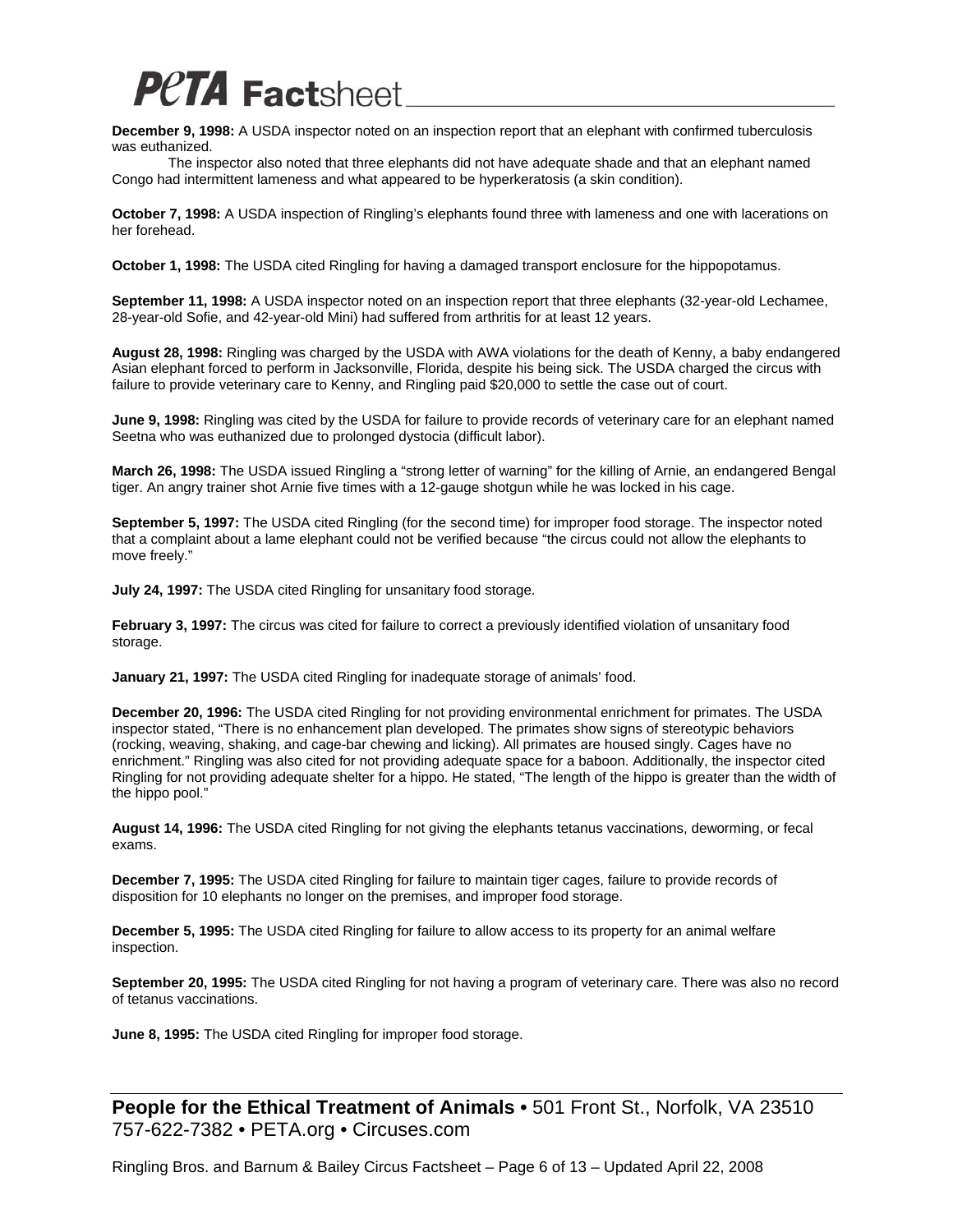

**December 9, 1998:** A USDA inspector noted on an inspection report that an elephant with confirmed tuberculosis was euthanized.

 The inspector also noted that three elephants did not have adequate shade and that an elephant named Congo had intermittent lameness and what appeared to be hyperkeratosis (a skin condition).

**October 7, 1998:** A USDA inspection of Ringling's elephants found three with lameness and one with lacerations on her forehead.

**October 1, 1998:** The USDA cited Ringling for having a damaged transport enclosure for the hippopotamus.

**September 11, 1998:** A USDA inspector noted on an inspection report that three elephants (32-year-old Lechamee, 28-year-old Sofie, and 42-year-old Mini) had suffered from arthritis for at least 12 years.

**August 28, 1998:** Ringling was charged by the USDA with AWA violations for the death of Kenny, a baby endangered Asian elephant forced to perform in Jacksonville, Florida, despite his being sick. The USDA charged the circus with failure to provide veterinary care to Kenny, and Ringling paid \$20,000 to settle the case out of court.

**June 9, 1998:** Ringling was cited by the USDA for failure to provide records of veterinary care for an elephant named Seetna who was euthanized due to prolonged dystocia (difficult labor).

**March 26, 1998:** The USDA issued Ringling a "strong letter of warning" for the killing of Arnie, an endangered Bengal tiger. An angry trainer shot Arnie five times with a 12-gauge shotgun while he was locked in his cage.

**September 5, 1997:** The USDA cited Ringling (for the second time) for improper food storage. The inspector noted that a complaint about a lame elephant could not be verified because "the circus could not allow the elephants to move freely."

**July 24, 1997:** The USDA cited Ringling for unsanitary food storage.

**February 3, 1997:** The circus was cited for failure to correct a previously identified violation of unsanitary food storage.

**January 21, 1997:** The USDA cited Ringling for inadequate storage of animals' food.

**December 20, 1996:** The USDA cited Ringling for not providing environmental enrichment for primates. The USDA inspector stated, "There is no enhancement plan developed. The primates show signs of stereotypic behaviors (rocking, weaving, shaking, and cage-bar chewing and licking). All primates are housed singly. Cages have no enrichment." Ringling was also cited for not providing adequate space for a baboon. Additionally, the inspector cited Ringling for not providing adequate shelter for a hippo. He stated, "The length of the hippo is greater than the width of the hippo pool."

**August 14, 1996:** The USDA cited Ringling for not giving the elephants tetanus vaccinations, deworming, or fecal exams.

**December 7, 1995:** The USDA cited Ringling for failure to maintain tiger cages, failure to provide records of disposition for 10 elephants no longer on the premises, and improper food storage.

**December 5, 1995:** The USDA cited Ringling for failure to allow access to its property for an animal welfare inspection.

**September 20, 1995:** The USDA cited Ringling for not having a program of veterinary care. There was also no record of tetanus vaccinations.

**June 8, 1995:** The USDA cited Ringling for improper food storage.

**People for the Ethical Treatment of Animals •** 501 Front St., Norfolk, VA 23510 757-622-7382 • PETA.org • Circuses.com

Ringling Bros. and Barnum & Bailey Circus Factsheet – Page 6 of 13 – Updated April 22, 2008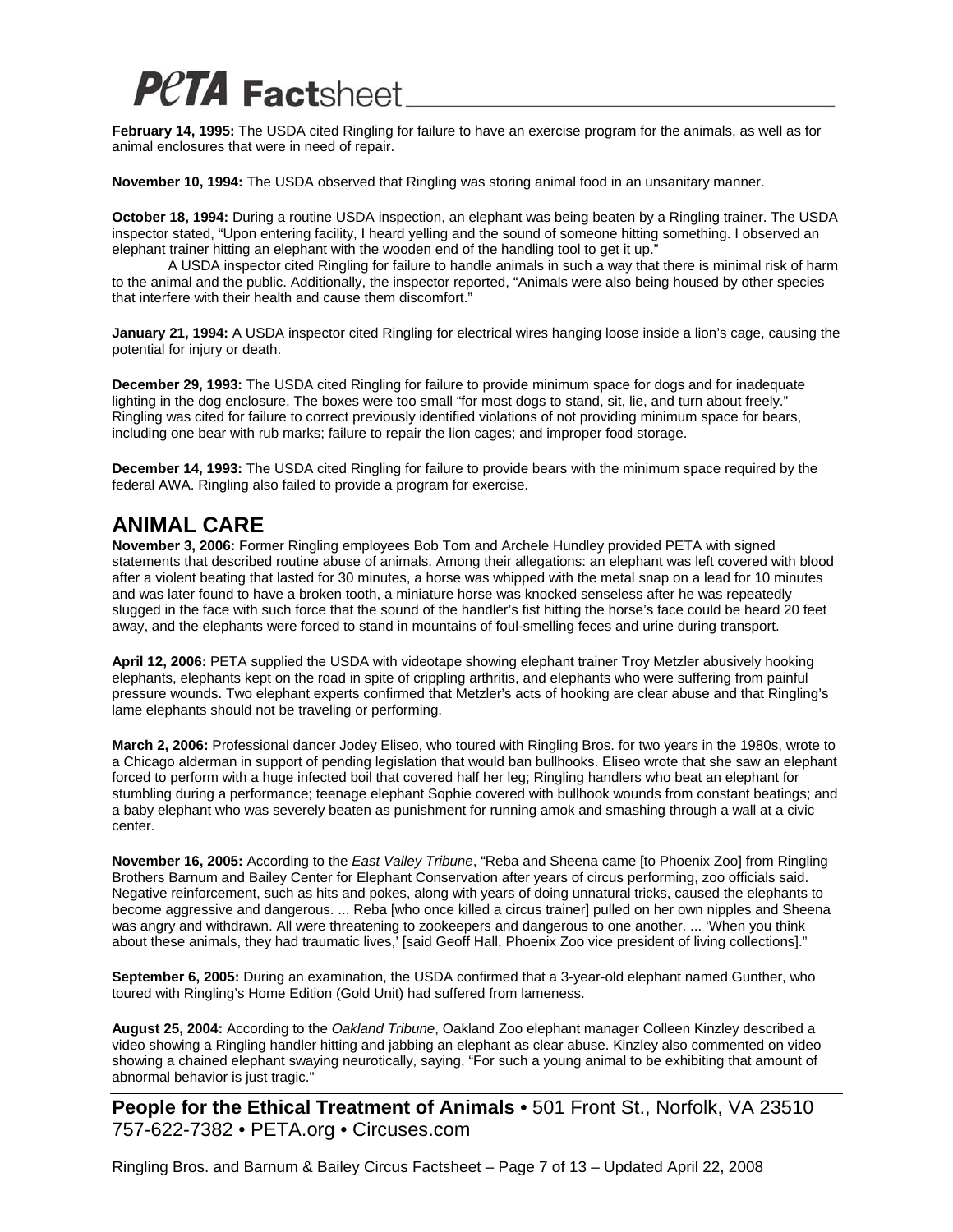**February 14, 1995:** The USDA cited Ringling for failure to have an exercise program for the animals, as well as for animal enclosures that were in need of repair.

**November 10, 1994:** The USDA observed that Ringling was storing animal food in an unsanitary manner.

**October 18, 1994:** During a routine USDA inspection, an elephant was being beaten by a Ringling trainer. The USDA inspector stated, "Upon entering facility, I heard yelling and the sound of someone hitting something. I observed an elephant trainer hitting an elephant with the wooden end of the handling tool to get it up."

 A USDA inspector cited Ringling for failure to handle animals in such a way that there is minimal risk of harm to the animal and the public. Additionally, the inspector reported, "Animals were also being housed by other species that interfere with their health and cause them discomfort."

**January 21, 1994:** A USDA inspector cited Ringling for electrical wires hanging loose inside a lion's cage, causing the potential for injury or death.

**December 29, 1993:** The USDA cited Ringling for failure to provide minimum space for dogs and for inadequate lighting in the dog enclosure. The boxes were too small "for most dogs to stand, sit, lie, and turn about freely." Ringling was cited for failure to correct previously identified violations of not providing minimum space for bears, including one bear with rub marks; failure to repair the lion cages; and improper food storage.

**December 14, 1993:** The USDA cited Ringling for failure to provide bears with the minimum space required by the federal AWA. Ringling also failed to provide a program for exercise.

#### **ANIMAL CARE**

**November 3, 2006:** Former Ringling employees Bob Tom and Archele Hundley provided PETA with signed statements that described routine abuse of animals. Among their allegations: an elephant was left covered with blood after a violent beating that lasted for 30 minutes, a horse was whipped with the metal snap on a lead for 10 minutes and was later found to have a broken tooth, a miniature horse was knocked senseless after he was repeatedly slugged in the face with such force that the sound of the handler's fist hitting the horse's face could be heard 20 feet away, and the elephants were forced to stand in mountains of foul-smelling feces and urine during transport.

**April 12, 2006:** PETA supplied the USDA with videotape showing elephant trainer Troy Metzler abusively hooking elephants, elephants kept on the road in spite of crippling arthritis, and elephants who were suffering from painful pressure wounds. Two elephant experts confirmed that Metzler's acts of hooking are clear abuse and that Ringling's lame elephants should not be traveling or performing.

**March 2, 2006:** Professional dancer Jodey Eliseo, who toured with Ringling Bros. for two years in the 1980s, wrote to a Chicago alderman in support of pending legislation that would ban bullhooks. Eliseo wrote that she saw an elephant forced to perform with a huge infected boil that covered half her leg; Ringling handlers who beat an elephant for stumbling during a performance; teenage elephant Sophie covered with bullhook wounds from constant beatings; and a baby elephant who was severely beaten as punishment for running amok and smashing through a wall at a civic center.

**November 16, 2005:** According to the *East Valley Tribune*, "Reba and Sheena came [to Phoenix Zoo] from Ringling Brothers Barnum and Bailey Center for Elephant Conservation after years of circus performing, zoo officials said. Negative reinforcement, such as hits and pokes, along with years of doing unnatural tricks, caused the elephants to become aggressive and dangerous. ... Reba [who once killed a circus trainer] pulled on her own nipples and Sheena was angry and withdrawn. All were threatening to zookeepers and dangerous to one another. ... 'When you think about these animals, they had traumatic lives,' [said Geoff Hall, Phoenix Zoo vice president of living collections]."

**September 6, 2005:** During an examination, the USDA confirmed that a 3-year-old elephant named Gunther, who toured with Ringling's Home Edition (Gold Unit) had suffered from lameness.

**August 25, 2004:** According to the *Oakland Tribune*, Oakland Zoo elephant manager Colleen Kinzley described a video showing a Ringling handler hitting and jabbing an elephant as clear abuse. Kinzley also commented on video showing a chained elephant swaying neurotically, saying, "For such a young animal to be exhibiting that amount of abnormal behavior is just tragic."

**People for the Ethical Treatment of Animals •** 501 Front St., Norfolk, VA 23510 757-622-7382 • PETA.org • Circuses.com

Ringling Bros. and Barnum & Bailey Circus Factsheet – Page 7 of 13 – Updated April 22, 2008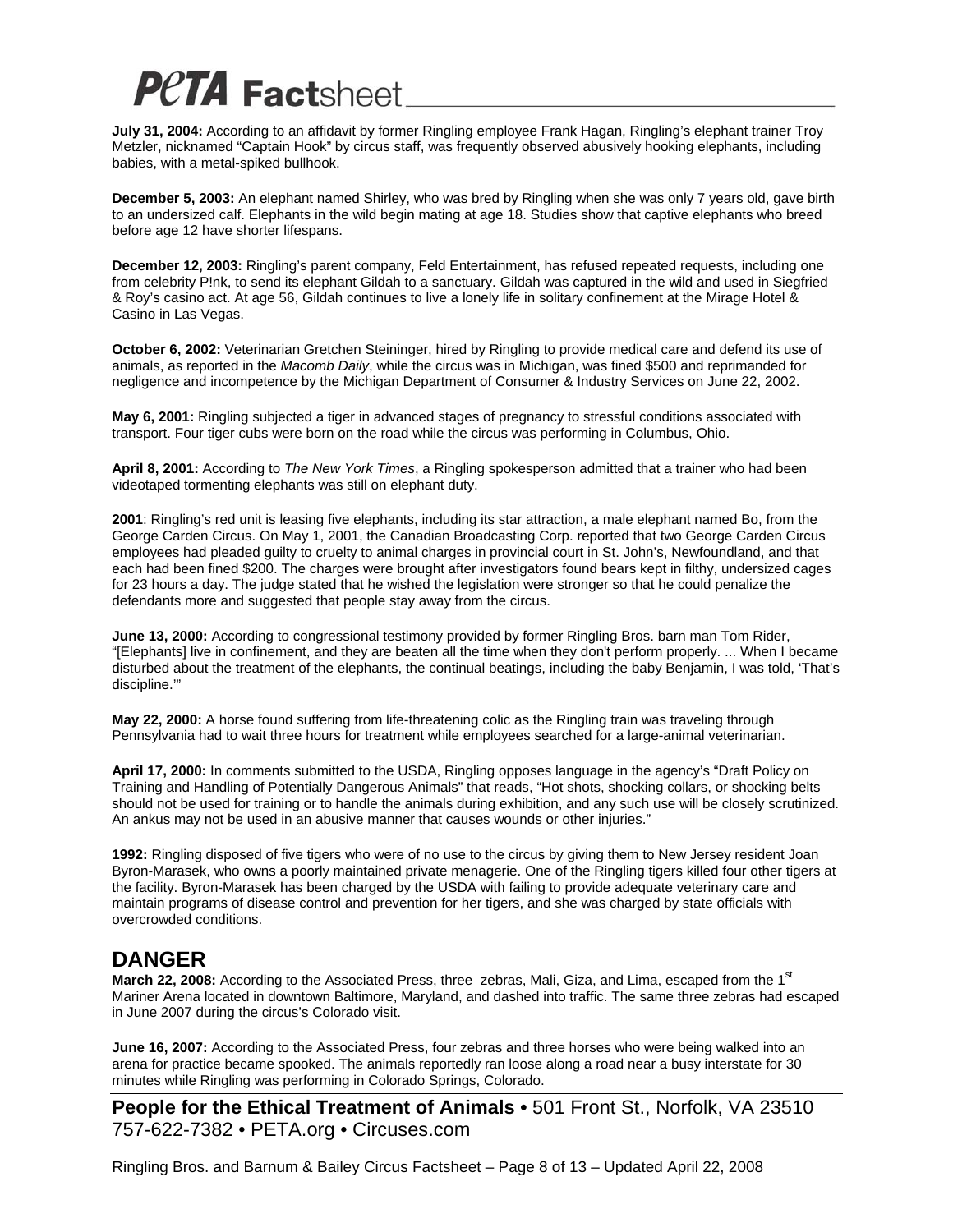**July 31, 2004:** According to an affidavit by former Ringling employee Frank Hagan, Ringling's elephant trainer Troy Metzler, nicknamed "Captain Hook" by circus staff, was frequently observed abusively hooking elephants, including babies, with a metal-spiked bullhook.

**December 5, 2003:** An elephant named Shirley, who was bred by Ringling when she was only 7 years old, gave birth to an undersized calf. Elephants in the wild begin mating at age 18. Studies show that captive elephants who breed before age 12 have shorter lifespans.

**December 12, 2003:** Ringling's parent company, Feld Entertainment, has refused repeated requests, including one from celebrity P!nk, to send its elephant Gildah to a sanctuary. Gildah was captured in the wild and used in Siegfried & Roy's casino act. At age 56, Gildah continues to live a lonely life in solitary confinement at the Mirage Hotel & Casino in Las Vegas.

**October 6, 2002:** Veterinarian Gretchen Steininger, hired by Ringling to provide medical care and defend its use of animals, as reported in the *Macomb Daily*, while the circus was in Michigan, was fined \$500 and reprimanded for negligence and incompetence by the Michigan Department of Consumer & Industry Services on June 22, 2002.

**May 6, 2001:** Ringling subjected a tiger in advanced stages of pregnancy to stressful conditions associated with transport. Four tiger cubs were born on the road while the circus was performing in Columbus, Ohio.

**April 8, 2001:** According to *The New York Times*, a Ringling spokesperson admitted that a trainer who had been videotaped tormenting elephants was still on elephant duty.

**2001**: Ringling's red unit is leasing five elephants, including its star attraction, a male elephant named Bo, from the George Carden Circus. On May 1, 2001, the Canadian Broadcasting Corp. reported that two George Carden Circus employees had pleaded guilty to cruelty to animal charges in provincial court in St. John's, Newfoundland, and that each had been fined \$200. The charges were brought after investigators found bears kept in filthy, undersized cages for 23 hours a day. The judge stated that he wished the legislation were stronger so that he could penalize the defendants more and suggested that people stay away from the circus.

**June 13, 2000:** According to congressional testimony provided by former Ringling Bros. barn man Tom Rider, "[Elephants] live in confinement, and they are beaten all the time when they don't perform properly. ... When I became disturbed about the treatment of the elephants, the continual beatings, including the baby Benjamin, I was told, 'That's discipline.'"

**May 22, 2000:** A horse found suffering from life-threatening colic as the Ringling train was traveling through Pennsylvania had to wait three hours for treatment while employees searched for a large-animal veterinarian.

**April 17, 2000:** In comments submitted to the USDA, Ringling opposes language in the agency's "Draft Policy on Training and Handling of Potentially Dangerous Animals" that reads, "Hot shots, shocking collars, or shocking belts should not be used for training or to handle the animals during exhibition, and any such use will be closely scrutinized. An ankus may not be used in an abusive manner that causes wounds or other injuries."

**1992:** Ringling disposed of five tigers who were of no use to the circus by giving them to New Jersey resident Joan Byron-Marasek, who owns a poorly maintained private menagerie. One of the Ringling tigers killed four other tigers at the facility. Byron-Marasek has been charged by the USDA with failing to provide adequate veterinary care and maintain programs of disease control and prevention for her tigers, and she was charged by state officials with overcrowded conditions.

#### **DANGER**

**March 22, 2008:** According to the Associated Press, three zebras, Mali, Giza, and Lima, escaped from the 1<sup>st</sup> Mariner Arena located in downtown Baltimore, Maryland, and dashed into traffic. The same three zebras had escaped in June 2007 during the circus's Colorado visit.

**June 16, 2007:** According to the Associated Press, four zebras and three horses who were being walked into an arena for practice became spooked. The animals reportedly ran loose along a road near a busy interstate for 30 minutes while Ringling was performing in Colorado Springs, Colorado.

**People for the Ethical Treatment of Animals •** 501 Front St., Norfolk, VA 23510 757-622-7382 • PETA.org • Circuses.com

Ringling Bros. and Barnum & Bailey Circus Factsheet – Page 8 of 13 – Updated April 22, 2008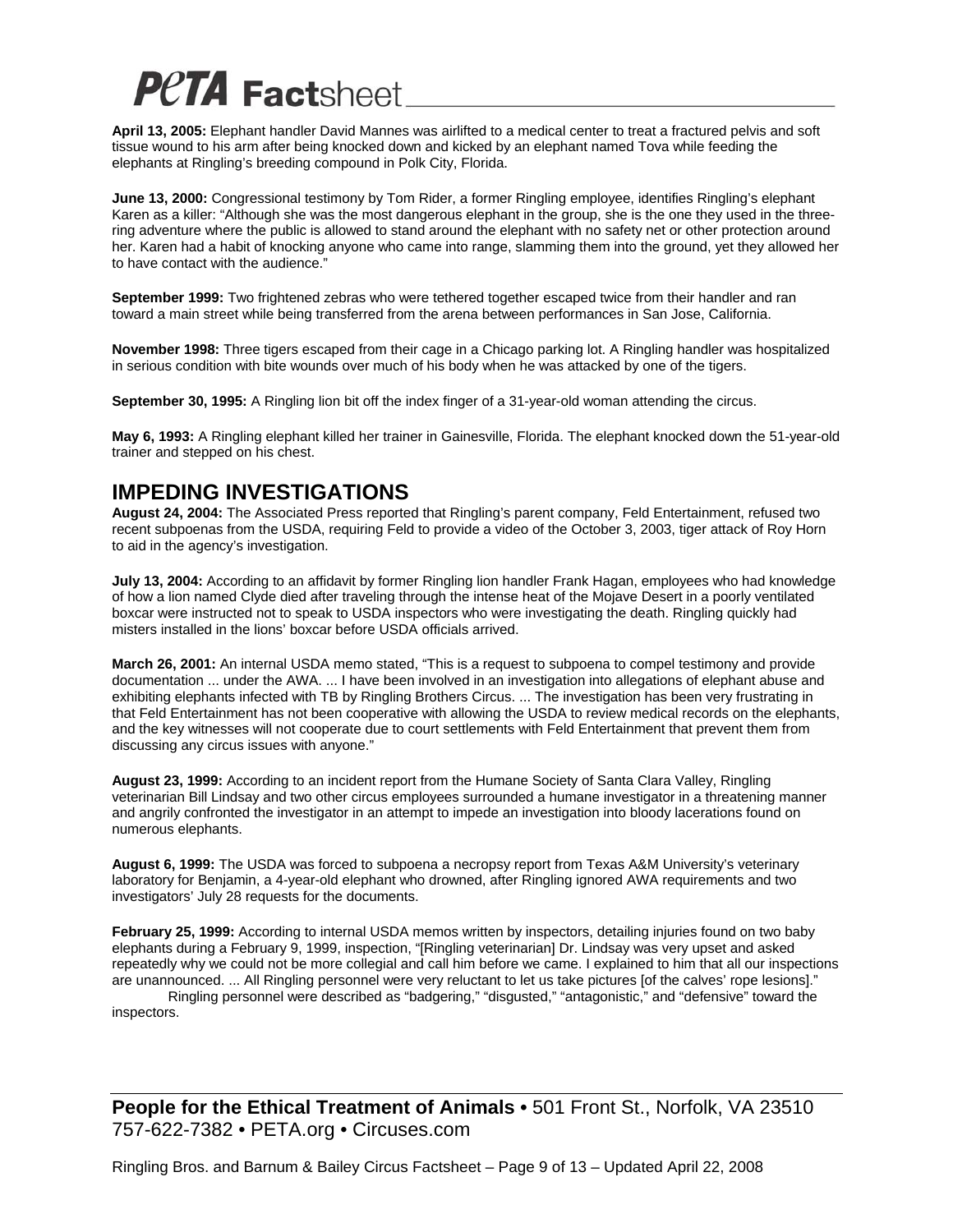**April 13, 2005:** Elephant handler David Mannes was airlifted to a medical center to treat a fractured pelvis and soft tissue wound to his arm after being knocked down and kicked by an elephant named Tova while feeding the elephants at Ringling's breeding compound in Polk City, Florida.

**June 13, 2000:** Congressional testimony by Tom Rider, a former Ringling employee, identifies Ringling's elephant Karen as a killer: "Although she was the most dangerous elephant in the group, she is the one they used in the threering adventure where the public is allowed to stand around the elephant with no safety net or other protection around her. Karen had a habit of knocking anyone who came into range, slamming them into the ground, yet they allowed her to have contact with the audience."

**September 1999:** Two frightened zebras who were tethered together escaped twice from their handler and ran toward a main street while being transferred from the arena between performances in San Jose, California.

**November 1998:** Three tigers escaped from their cage in a Chicago parking lot. A Ringling handler was hospitalized in serious condition with bite wounds over much of his body when he was attacked by one of the tigers.

**September 30, 1995:** A Ringling lion bit off the index finger of a 31-year-old woman attending the circus.

**May 6, 1993:** A Ringling elephant killed her trainer in Gainesville, Florida. The elephant knocked down the 51-year-old trainer and stepped on his chest.

#### **IMPEDING INVESTIGATIONS**

**August 24, 2004:** The Associated Press reported that Ringling's parent company, Feld Entertainment, refused two recent subpoenas from the USDA, requiring Feld to provide a video of the October 3, 2003, tiger attack of Roy Horn to aid in the agency's investigation.

**July 13, 2004:** According to an affidavit by former Ringling lion handler Frank Hagan, employees who had knowledge of how a lion named Clyde died after traveling through the intense heat of the Mojave Desert in a poorly ventilated boxcar were instructed not to speak to USDA inspectors who were investigating the death. Ringling quickly had misters installed in the lions' boxcar before USDA officials arrived.

**March 26, 2001:** An internal USDA memo stated, "This is a request to subpoena to compel testimony and provide documentation ... under the AWA. ... I have been involved in an investigation into allegations of elephant abuse and exhibiting elephants infected with TB by Ringling Brothers Circus. ... The investigation has been very frustrating in that Feld Entertainment has not been cooperative with allowing the USDA to review medical records on the elephants, and the key witnesses will not cooperate due to court settlements with Feld Entertainment that prevent them from discussing any circus issues with anyone."

**August 23, 1999:** According to an incident report from the Humane Society of Santa Clara Valley, Ringling veterinarian Bill Lindsay and two other circus employees surrounded a humane investigator in a threatening manner and angrily confronted the investigator in an attempt to impede an investigation into bloody lacerations found on numerous elephants.

**August 6, 1999:** The USDA was forced to subpoena a necropsy report from Texas A&M University's veterinary laboratory for Benjamin, a 4-year-old elephant who drowned, after Ringling ignored AWA requirements and two investigators' July 28 requests for the documents.

**February 25, 1999:** According to internal USDA memos written by inspectors, detailing injuries found on two baby elephants during a February 9, 1999, inspection, "[Ringling veterinarian] Dr. Lindsay was very upset and asked repeatedly why we could not be more collegial and call him before we came. I explained to him that all our inspections are unannounced. ... All Ringling personnel were very reluctant to let us take pictures [of the calves' rope lesions]."

 Ringling personnel were described as "badgering," "disgusted," "antagonistic," and "defensive" toward the inspectors.

**People for the Ethical Treatment of Animals •** 501 Front St., Norfolk, VA 23510 757-622-7382 • PETA.org • Circuses.com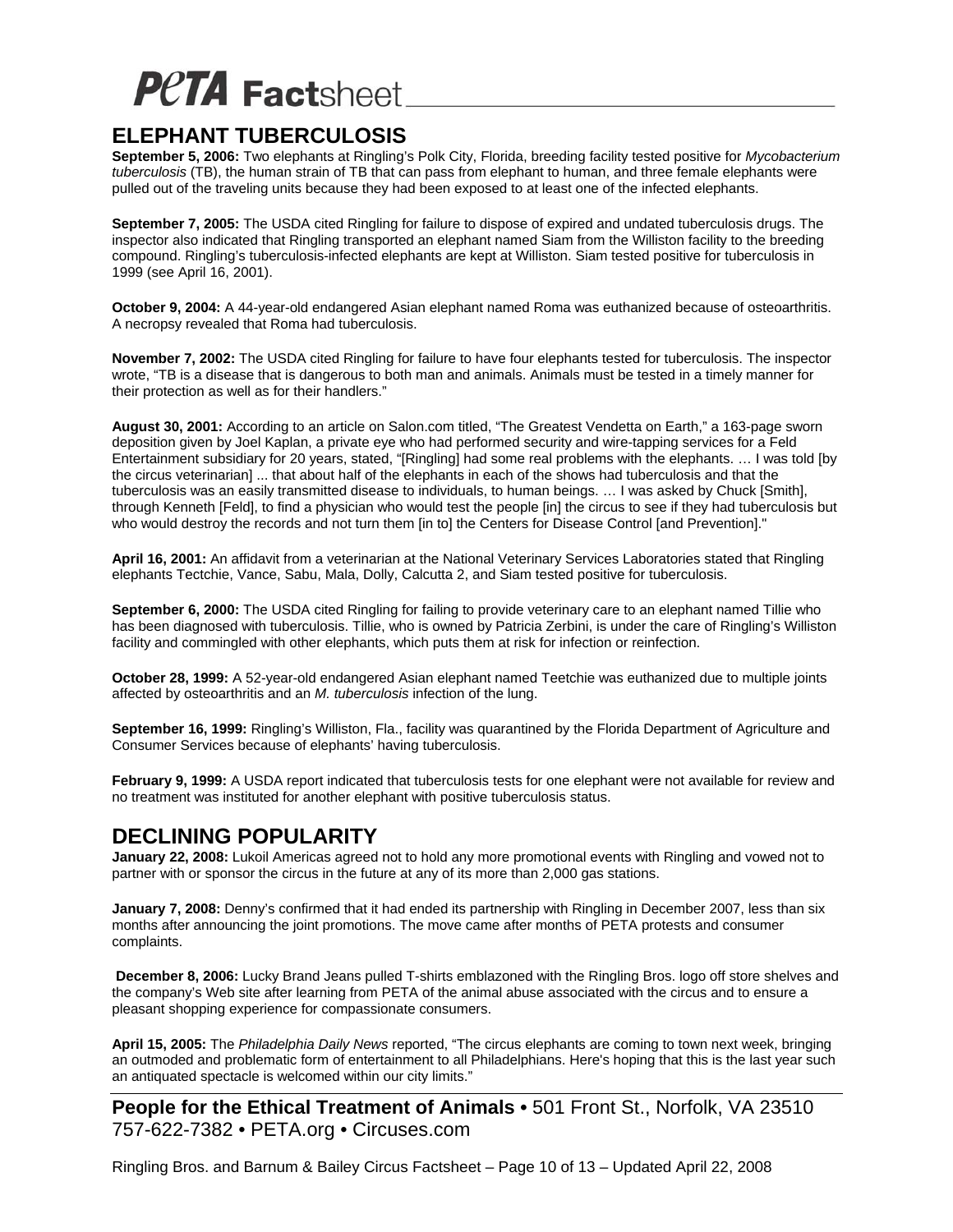#### **ELEPHANT TUBERCULOSIS**

**September 5, 2006:** Two elephants at Ringling's Polk City, Florida, breeding facility tested positive for *Mycobacterium tuberculosis* (TB), the human strain of TB that can pass from elephant to human, and three female elephants were pulled out of the traveling units because they had been exposed to at least one of the infected elephants.

**September 7, 2005:** The USDA cited Ringling for failure to dispose of expired and undated tuberculosis drugs. The inspector also indicated that Ringling transported an elephant named Siam from the Williston facility to the breeding compound. Ringling's tuberculosis-infected elephants are kept at Williston. Siam tested positive for tuberculosis in 1999 (see April 16, 2001).

**October 9, 2004:** A 44-year-old endangered Asian elephant named Roma was euthanized because of osteoarthritis. A necropsy revealed that Roma had tuberculosis.

**November 7, 2002:** The USDA cited Ringling for failure to have four elephants tested for tuberculosis. The inspector wrote, "TB is a disease that is dangerous to both man and animals. Animals must be tested in a timely manner for their protection as well as for their handlers."

**August 30, 2001:** According to an article on Salon.com titled, "The Greatest Vendetta on Earth," a 163-page sworn deposition given by Joel Kaplan, a private eye who had performed security and wire-tapping services for a Feld Entertainment subsidiary for 20 years, stated, "[Ringling] had some real problems with the elephants. … I was told [by the circus veterinarian] ... that about half of the elephants in each of the shows had tuberculosis and that the tuberculosis was an easily transmitted disease to individuals, to human beings. … I was asked by Chuck [Smith], through Kenneth [Feld], to find a physician who would test the people [in] the circus to see if they had tuberculosis but who would destroy the records and not turn them [in to] the Centers for Disease Control [and Prevention]."

**April 16, 2001:** An affidavit from a veterinarian at the National Veterinary Services Laboratories stated that Ringling elephants Tectchie, Vance, Sabu, Mala, Dolly, Calcutta 2, and Siam tested positive for tuberculosis.

**September 6, 2000:** The USDA cited Ringling for failing to provide veterinary care to an elephant named Tillie who has been diagnosed with tuberculosis. Tillie, who is owned by Patricia Zerbini, is under the care of Ringling's Williston facility and commingled with other elephants, which puts them at risk for infection or reinfection.

**October 28, 1999:** A 52-year-old endangered Asian elephant named Teetchie was euthanized due to multiple joints affected by osteoarthritis and an *M. tuberculosis* infection of the lung.

**September 16, 1999:** Ringling's Williston, Fla., facility was quarantined by the Florida Department of Agriculture and Consumer Services because of elephants' having tuberculosis.

**February 9, 1999:** A USDA report indicated that tuberculosis tests for one elephant were not available for review and no treatment was instituted for another elephant with positive tuberculosis status.

#### **DECLINING POPULARITY**

**January 22, 2008:** Lukoil Americas agreed not to hold any more promotional events with Ringling and vowed not to partner with or sponsor the circus in the future at any of its more than 2,000 gas stations.

**January 7, 2008:** Denny's confirmed that it had ended its partnership with Ringling in December 2007, less than six months after announcing the joint promotions. The move came after months of PETA protests and consumer complaints.

 **December 8, 2006:** Lucky Brand Jeans pulled T-shirts emblazoned with the Ringling Bros. logo off store shelves and the company's Web site after learning from PETA of the animal abuse associated with the circus and to ensure a pleasant shopping experience for compassionate consumers.

**April 15, 2005:** The *Philadelphia Daily News* reported, "The circus elephants are coming to town next week, bringing an outmoded and problematic form of entertainment to all Philadelphians. Here's hoping that this is the last year such an antiquated spectacle is welcomed within our city limits."

**People for the Ethical Treatment of Animals •** 501 Front St., Norfolk, VA 23510 757-622-7382 • PETA.org • Circuses.com

Ringling Bros. and Barnum & Bailey Circus Factsheet – Page 10 of 13 – Updated April 22, 2008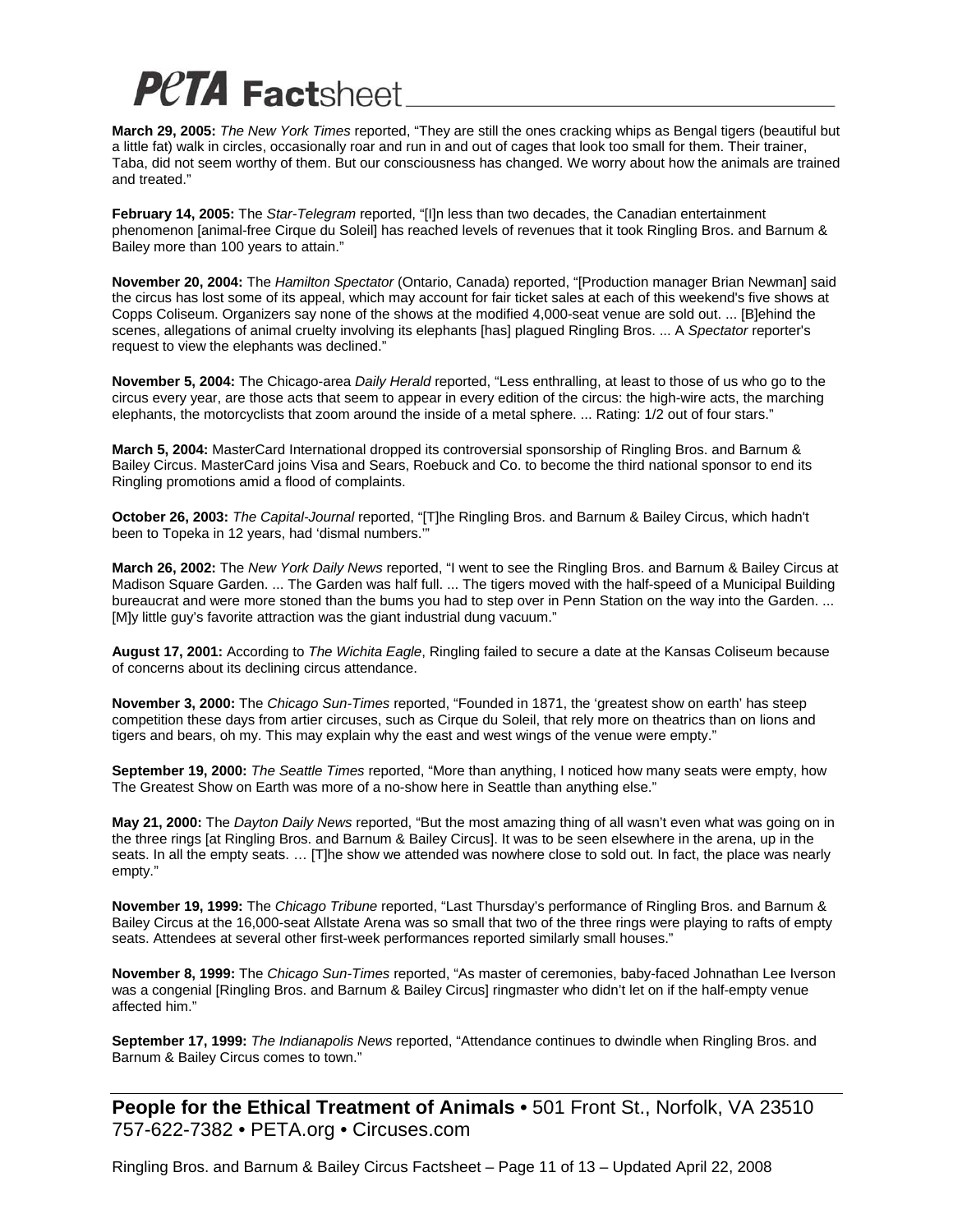**March 29, 2005:** *The New York Times* reported, "They are still the ones cracking whips as Bengal tigers (beautiful but a little fat) walk in circles, occasionally roar and run in and out of cages that look too small for them. Their trainer, Taba, did not seem worthy of them. But our consciousness has changed. We worry about how the animals are trained and treated."

**February 14, 2005:** The *Star-Telegram* reported, "[I]n less than two decades, the Canadian entertainment phenomenon [animal-free Cirque du Soleil] has reached levels of revenues that it took Ringling Bros. and Barnum & Bailey more than 100 years to attain."

**November 20, 2004:** The *Hamilton Spectator* (Ontario, Canada) reported, "[Production manager Brian Newman] said the circus has lost some of its appeal, which may account for fair ticket sales at each of this weekend's five shows at Copps Coliseum. Organizers say none of the shows at the modified 4,000-seat venue are sold out. ... [B]ehind the scenes, allegations of animal cruelty involving its elephants [has] plagued Ringling Bros. ... A *Spectator* reporter's request to view the elephants was declined."

**November 5, 2004:** The Chicago-area *Daily Herald* reported, "Less enthralling, at least to those of us who go to the circus every year, are those acts that seem to appear in every edition of the circus: the high-wire acts, the marching elephants, the motorcyclists that zoom around the inside of a metal sphere. ... Rating: 1/2 out of four stars."

**March 5, 2004:** MasterCard International dropped its controversial sponsorship of Ringling Bros. and Barnum & Bailey Circus. MasterCard joins Visa and Sears, Roebuck and Co. to become the third national sponsor to end its Ringling promotions amid a flood of complaints.

**October 26, 2003:** *The Capital-Journal* reported, "[T]he Ringling Bros. and Barnum & Bailey Circus, which hadn't been to Topeka in 12 years, had 'dismal numbers.'

**March 26, 2002:** The *New York Daily News* reported, "I went to see the Ringling Bros. and Barnum & Bailey Circus at Madison Square Garden. ... The Garden was half full. ... The tigers moved with the half-speed of a Municipal Building bureaucrat and were more stoned than the bums you had to step over in Penn Station on the way into the Garden. ... [M]y little guy's favorite attraction was the giant industrial dung vacuum."

**August 17, 2001:** According to *The Wichita Eagle*, Ringling failed to secure a date at the Kansas Coliseum because of concerns about its declining circus attendance.

**November 3, 2000:** The *Chicago Sun-Times* reported, "Founded in 1871, the 'greatest show on earth' has steep competition these days from artier circuses, such as Cirque du Soleil, that rely more on theatrics than on lions and tigers and bears, oh my. This may explain why the east and west wings of the venue were empty."

**September 19, 2000:** *The Seattle Times* reported, "More than anything, I noticed how many seats were empty, how The Greatest Show on Earth was more of a no-show here in Seattle than anything else."

**May 21, 2000:** The *Dayton Daily News* reported, "But the most amazing thing of all wasn't even what was going on in the three rings [at Ringling Bros. and Barnum & Bailey Circus]. It was to be seen elsewhere in the arena, up in the seats. In all the empty seats. … [T]he show we attended was nowhere close to sold out. In fact, the place was nearly empty."

**November 19, 1999:** The *Chicago Tribune* reported, "Last Thursday's performance of Ringling Bros. and Barnum & Bailey Circus at the 16,000-seat Allstate Arena was so small that two of the three rings were playing to rafts of empty seats. Attendees at several other first-week performances reported similarly small houses."

**November 8, 1999:** The *Chicago Sun-Times* reported, "As master of ceremonies, baby-faced Johnathan Lee Iverson was a congenial [Ringling Bros. and Barnum & Bailey Circus] ringmaster who didn't let on if the half-empty venue affected him."

**September 17, 1999:** *The Indianapolis News* reported, "Attendance continues to dwindle when Ringling Bros. and Barnum & Bailey Circus comes to town."

**People for the Ethical Treatment of Animals •** 501 Front St., Norfolk, VA 23510 757-622-7382 • PETA.org • Circuses.com

Ringling Bros. and Barnum & Bailey Circus Factsheet – Page 11 of 13 – Updated April 22, 2008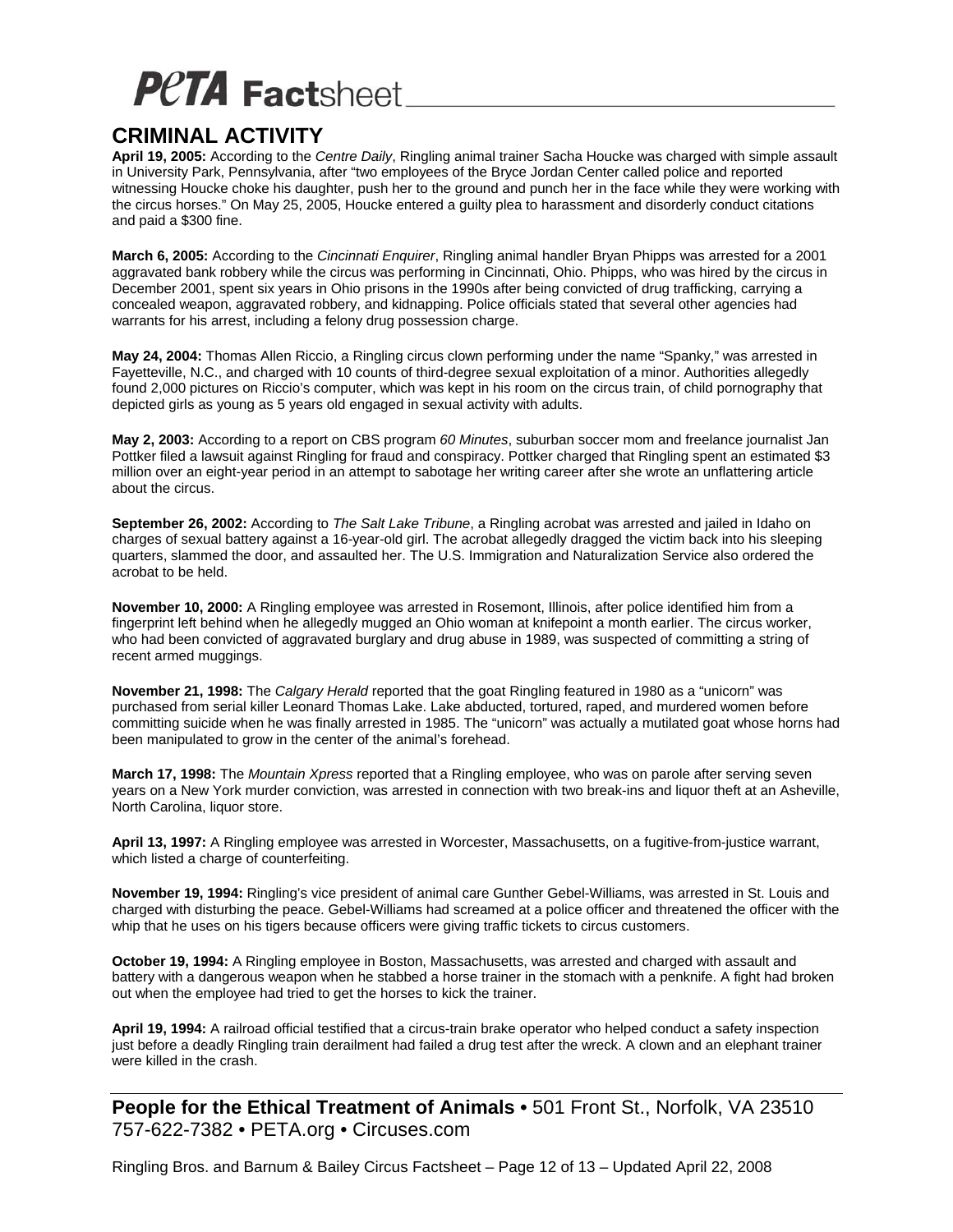#### **CRIMINAL ACTIVITY**

**April 19, 2005:** According to the *Centre Daily*, Ringling animal trainer Sacha Houcke was charged with simple assault in University Park, Pennsylvania, after "two employees of the Bryce Jordan Center called police and reported witnessing Houcke choke his daughter, push her to the ground and punch her in the face while they were working with the circus horses." On May 25, 2005, Houcke entered a guilty plea to harassment and disorderly conduct citations and paid a \$300 fine.

**March 6, 2005:** According to the *Cincinnati Enquirer*, Ringling animal handler Bryan Phipps was arrested for a 2001 aggravated bank robbery while the circus was performing in Cincinnati, Ohio. Phipps, who was hired by the circus in December 2001, spent six years in Ohio prisons in the 1990s after being convicted of drug trafficking, carrying a concealed weapon, aggravated robbery, and kidnapping. Police officials stated that several other agencies had warrants for his arrest, including a felony drug possession charge.

**May 24, 2004:** Thomas Allen Riccio, a Ringling circus clown performing under the name "Spanky," was arrested in Fayetteville, N.C., and charged with 10 counts of third-degree sexual exploitation of a minor. Authorities allegedly found 2,000 pictures on Riccio's computer, which was kept in his room on the circus train, of child pornography that depicted girls as young as 5 years old engaged in sexual activity with adults.

**May 2, 2003:** According to a report on CBS program *60 Minutes*, suburban soccer mom and freelance journalist Jan Pottker filed a lawsuit against Ringling for fraud and conspiracy. Pottker charged that Ringling spent an estimated \$3 million over an eight-year period in an attempt to sabotage her writing career after she wrote an unflattering article about the circus.

**September 26, 2002:** According to *The Salt Lake Tribune*, a Ringling acrobat was arrested and jailed in Idaho on charges of sexual battery against a 16-year-old girl. The acrobat allegedly dragged the victim back into his sleeping quarters, slammed the door, and assaulted her. The U.S. Immigration and Naturalization Service also ordered the acrobat to be held.

**November 10, 2000:** A Ringling employee was arrested in Rosemont, Illinois, after police identified him from a fingerprint left behind when he allegedly mugged an Ohio woman at knifepoint a month earlier. The circus worker, who had been convicted of aggravated burglary and drug abuse in 1989, was suspected of committing a string of recent armed muggings.

**November 21, 1998:** The *Calgary Herald* reported that the goat Ringling featured in 1980 as a "unicorn" was purchased from serial killer Leonard Thomas Lake. Lake abducted, tortured, raped, and murdered women before committing suicide when he was finally arrested in 1985. The "unicorn" was actually a mutilated goat whose horns had been manipulated to grow in the center of the animal's forehead.

**March 17, 1998:** The *Mountain Xpress* reported that a Ringling employee, who was on parole after serving seven years on a New York murder conviction, was arrested in connection with two break-ins and liquor theft at an Asheville, North Carolina, liquor store.

**April 13, 1997:** A Ringling employee was arrested in Worcester, Massachusetts, on a fugitive-from-justice warrant, which listed a charge of counterfeiting.

**November 19, 1994:** Ringling's vice president of animal care Gunther Gebel-Williams, was arrested in St. Louis and charged with disturbing the peace. Gebel-Williams had screamed at a police officer and threatened the officer with the whip that he uses on his tigers because officers were giving traffic tickets to circus customers.

**October 19, 1994:** A Ringling employee in Boston, Massachusetts, was arrested and charged with assault and battery with a dangerous weapon when he stabbed a horse trainer in the stomach with a penknife. A fight had broken out when the employee had tried to get the horses to kick the trainer.

**April 19, 1994:** A railroad official testified that a circus-train brake operator who helped conduct a safety inspection just before a deadly Ringling train derailment had failed a drug test after the wreck. A clown and an elephant trainer were killed in the crash.

**People for the Ethical Treatment of Animals •** 501 Front St., Norfolk, VA 23510 757-622-7382 • PETA.org • Circuses.com

Ringling Bros. and Barnum & Bailey Circus Factsheet – Page 12 of 13 – Updated April 22, 2008